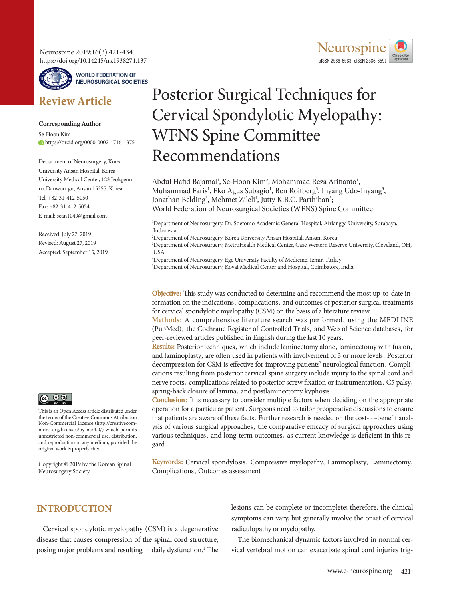Neurospine 2019;16(3):421-434. https://doi.org/10.14245/ns.1938274.137



**WORLD FEDERATION OF NEUROSURGICAL SOCIETIES**

# **Review Article**

#### **Corresponding Author**

Se-Hoon Kim https://orcid.org/0000-0002-1716-1375

Department of Neurosurgery, Korea University Ansan Hospital, Korea University Medical Center, 123 Jeokgeumro, Danwon-gu, Ansan 15355, Korea Tel: +82-31-412-5050 Fax: +82-31-412-5054 E-mail: sean1049@gmail.com

Received: July 27, 2019 Revised: August 27, 2019 Accepted: September 15, 2019



This is an Open Access article distributed under the terms of the Creative Commons Attribution Non-Commercial License (http://creativecommons.org/licenses/by-nc/4.0/) which permits unrestricted non-commercial use, distribution, and reproduction in any medium, provided the original work is properly cited.

Copyright © 2019 by the Korean Spinal Neurosurgery Society



# Posterior Surgical Techniques for Cervical Spondylotic Myelopathy: WFNS Spine Committee Recommendations

Abdul Hafid Bajamal<sup>1</sup>, Se-Hoon Kim<sup>2</sup>, Mohammad Reza Arifianto<sup>1</sup>, Muhammad Faris<sup>1</sup>, Eko Agus Subagio<sup>1</sup>, Ben Roitberg<sup>3</sup>, Inyang Udo-Inyang<sup>3</sup>, Jonathan Belding<sup>3</sup>, Mehmet Zileli<sup>4</sup>, Jutty K.B.C. Parthiban<sup>5</sup>; World Federation of Neurosurgical Societies (WFNS) Spine Committee

1 Department of Neurosurgery, Dr. Soetomo Academic General Hospital, Airlangga University, Surabaya, Indonesia

2 Department of Neurosurgery, Korea University Ansan Hospital, Ansan, Korea

3 Department of Neurosurgery, MetroHealth Medical Center, Case Western Reserve University, Cleveland, OH, USA

4 Department of Neurosurgery, Ege University Faculty of Medicine, Izmir, Turkey

5 Department of Neurosurgery, Kovai Medical Center and Hospital, Coimbatore, India

**Objective:** This study was conducted to determine and recommend the most up-to-date information on the indications, complications, and outcomes of posterior surgical treatments for cervical spondylotic myelopathy (CSM) on the basis of a literature review.

**Methods:** A comprehensive literature search was performed, using the MEDLINE (PubMed), the Cochrane Register of Controlled Trials, and Web of Science databases, for peer-reviewed articles published in English during the last 10 years.

**Results:** Posterior techniques, which include laminectomy alone, laminectomy with fusion, and laminoplasty, are often used in patients with involvement of 3 or more levels. Posterior decompression for CSM is effective for improving patients' neurological function. Complications resulting from posterior cervical spine surgery include injury to the spinal cord and nerve roots, complications related to posterior screw fixation or instrumentation, C5 palsy, spring-back closure of lamina, and postlaminectomy kyphosis.

**Conclusion:** It is necessary to consider multiple factors when deciding on the appropriate operation for a particular patient. Surgeons need to tailor preoperative discussions to ensure that patients are aware of these facts. Further research is needed on the cost-to-benefit analysis of various surgical approaches, the comparative efficacy of surgical approaches using various techniques, and long-term outcomes, as current knowledge is deficient in this regard.

**Keywords:** Cervical spondylosis, Compressive myelopathy, Laminoplasty, Laminectomy, Complications, Outcomes assessment

## **INTRODUCTION**

Cervical spondylotic myelopathy (CSM) is a degenerative disease that causes compression of the spinal cord structure, posing major problems and resulting in daily dysfunction.<sup>1</sup> The lesions can be complete or incomplete; therefore, the clinical symptoms can vary, but generally involve the onset of cervical radiculopathy or myelopathy.

The biomechanical dynamic factors involved in normal cervical vertebral motion can exacerbate spinal cord injuries trig-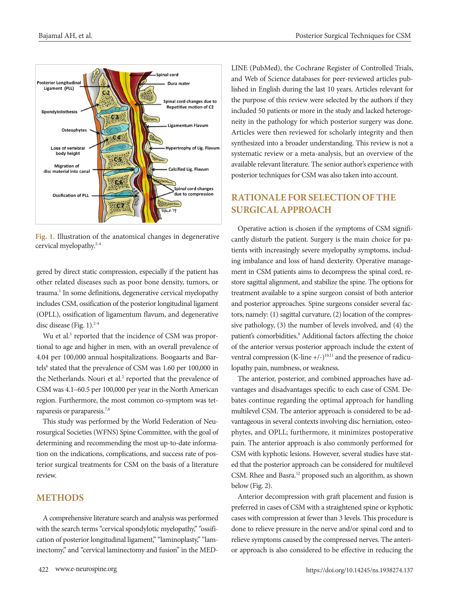

**Fig. 1.** Illustration of the anatomical changes in degenerative cervical myelopathy.2-4

gered by direct static compression, especially if the patient has other related diseases such as poor bone density, tumors, or trauma.<sup>1</sup> In some definitions, degenerative cervical myelopathy includes CSM, ossification of the posterior longitudinal ligament (OPLL), ossification of ligamentum flavum, and degenerative disc disease (Fig. 1). $2-4$ 

Wu et al.<sup>5</sup> reported that the incidence of CSM was proportional to age and higher in men, with an overall prevalence of 4.04 per 100,000 annual hospitalizations. Boogaarts and Bartels<sup>6</sup> stated that the prevalence of CSM was 1.60 per 100,000 in the Netherlands. Nouri et al.<sup>2</sup> reported that the prevalence of CSM was 4.1–60.5 per 100,000 per year in the North American region. Furthermore, the most common co-symptom was tetraparesis or paraparesis.7,8

This study was performed by the World Federation of Neurosurgical Societies (WFNS) Spine Committee, with the goal of determining and recommending the most up-to-date information on the indications, complications, and success rate of posterior surgical treatments for CSM on the basis of a literature review.

### **METHODS**

A comprehensive literature search and analysis was performed with the search terms "cervical spondylotic myelopathy," "ossification of posterior longitudinal ligament," "laminoplasty," "laminectomy," and "cervical laminectomy and fusion" in the MED- LINE (PubMed), the Cochrane Register of Controlled Trials, and Web of Science databases for peer-reviewed articles published in English during the last 10 years. Articles relevant for the purpose of this review were selected by the authors if they included 50 patients or more in the study and lacked heterogeneity in the pathology for which posterior surgery was done. Articles were then reviewed for scholarly integrity and then synthesized into a broader understanding. This review is not a systematic review or a meta-analysis, but an overview of the available relevant literature. The senior author's experience with posterior techniques for CSM was also taken into account.

# **RATIONALE FOR SELECTION OF THE SURGICAL APPROACH**

Operative action is chosen if the symptoms of CSM significantly disturb the patient. Surgery is the main choice for patients with increasingly severe myelopathy symptoms, including imbalance and loss of hand dexterity. Operative management in CSM patients aims to decompress the spinal cord, restore sagittal alignment, and stabilize the spine. The options for treatment available to a spine surgeon consist of both anterior and posterior approaches. Spine surgeons consider several factors, namely: (1) sagittal curvature, (2) location of the compressive pathology, (3) the number of levels involved, and (4) the patient's comorbidities.<sup>9</sup> Additional factors affecting the choice of the anterior versus posterior approach include the extent of ventral compression (K-line  $+/-$ )<sup>10,11</sup> and the presence of radiculopathy pain, numbness, or weakness.

The anterior, posterior, and combined approaches have advantages and disadvantages specific to each case of CSM. Debates continue regarding the optimal approach for handling multilevel CSM. The anterior approach is considered to be advantageous in several contexts involving disc herniation, osteophytes, and OPLL; furthermore, it minimizes postoperative pain. The anterior approach is also commonly performed for CSM with kyphotic lesions. However, several studies have stated that the posterior approach can be considered for multilevel CSM. Rhee and Basra.<sup>12</sup> proposed such an algorithm, as shown below (Fig. 2).

Anterior decompression with graft placement and fusion is preferred in cases of CSM with a straightened spine or kyphotic cases with compression at fewer than 3 levels. This procedure is done to relieve pressure in the nerve and/or spinal cord and to relieve symptoms caused by the compressed nerves. The anterior approach is also considered to be effective in reducing the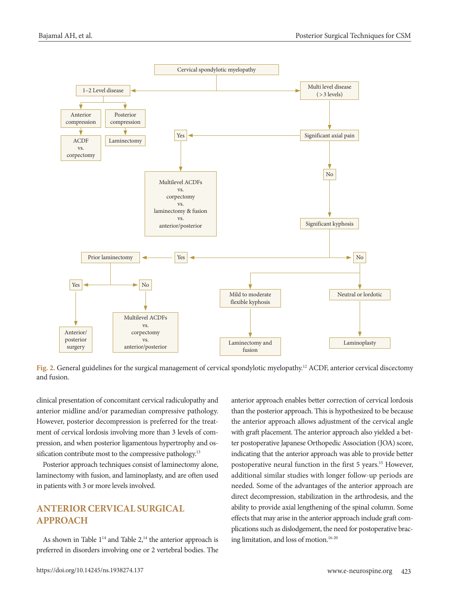

**Fig. 2.** General guidelines for the surgical management of cervical spondylotic myelopathy.12 ACDF, anterior cervical discectomy and fusion.

clinical presentation of concomitant cervical radiculopathy and anterior midline and/or paramedian compressive pathology. However, posterior decompression is preferred for the treatment of cervical lordosis involving more than 3 levels of compression, and when posterior ligamentous hypertrophy and ossification contribute most to the compressive pathology.<sup>13</sup>

Posterior approach techniques consist of laminectomy alone, laminectomy with fusion, and laminoplasty, and are often used in patients with 3 or more levels involved.

# **ANTERIOR CERVICAL SURGICAL APPROACH**

As shown in Table  $1^{14}$  and Table  $2^{14}$ , the anterior approach is preferred in disorders involving one or 2 vertebral bodies. The anterior approach enables better correction of cervical lordosis than the posterior approach. This is hypothesized to be because the anterior approach allows adjustment of the cervical angle with graft placement. The anterior approach also yielded a better postoperative Japanese Orthopedic Association (JOA) score, indicating that the anterior approach was able to provide better postoperative neural function in the first 5 years.<sup>15</sup> However, additional similar studies with longer follow-up periods are needed. Some of the advantages of the anterior approach are direct decompression, stabilization in the arthrodesis, and the ability to provide axial lengthening of the spinal column. Some effects that may arise in the anterior approach include graft complications such as dislodgement, the need for postoperative bracing limitation, and loss of motion.16-20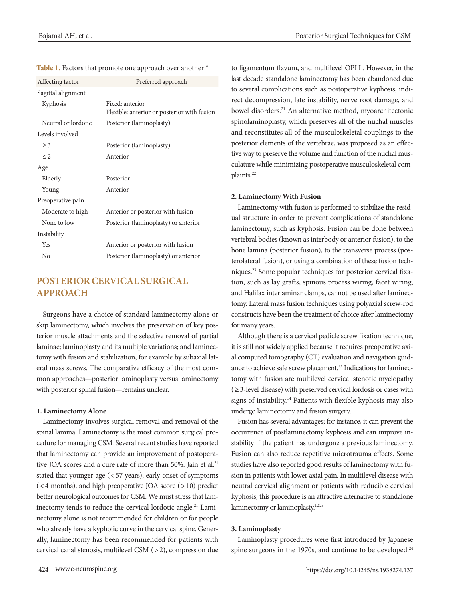| Affecting factor    | Preferred approach                                             |
|---------------------|----------------------------------------------------------------|
| Sagittal alignment  |                                                                |
| Kyphosis            | Fixed: anterior<br>Flexible: anterior or posterior with fusion |
| Neutral or lordotic | Posterior (laminoplasty)                                       |
| Levels involved     |                                                                |
| $\geq$ 3            | Posterior (laminoplasty)                                       |
| $\leq$ 2            | Anterior                                                       |
| Age                 |                                                                |
| Elderly             | Posterior                                                      |
| Young               | Anterior                                                       |
| Preoperative pain   |                                                                |
| Moderate to high    | Anterior or posterior with fusion                              |
| None to low         | Posterior (laminoplasty) or anterior                           |
| Instability         |                                                                |
| Yes                 | Anterior or posterior with fusion                              |
| N <sub>0</sub>      | Posterior (laminoplasty) or anterior                           |
|                     |                                                                |

| Table 1. Factors that promote one approach over another <sup>14</sup> |  |  |  |
|-----------------------------------------------------------------------|--|--|--|
|-----------------------------------------------------------------------|--|--|--|

# **POSTERIOR CERVICAL SURGICAL APPROACH**

Surgeons have a choice of standard laminectomy alone or skip laminectomy, which involves the preservation of key posterior muscle attachments and the selective removal of partial laminae; laminoplasty and its multiple variations; and laminectomy with fusion and stabilization, for example by subaxial lateral mass screws. The comparative efficacy of the most common approaches—posterior laminoplasty versus laminectomy with posterior spinal fusion—remains unclear.

#### **1. Laminectomy Alone**

Laminectomy involves surgical removal and removal of the spinal lamina. Laminectomy is the most common surgical procedure for managing CSM. Several recent studies have reported that laminectomy can provide an improvement of postoperative JOA scores and a cure rate of more than 50%. Jain et al.<sup>21</sup> stated that younger age (< 57 years), early onset of symptoms (< 4 months), and high preoperative JOA score (> 10) predict better neurological outcomes for CSM. We must stress that laminectomy tends to reduce the cervical lordotic angle.<sup>21</sup> Laminectomy alone is not recommended for children or for people who already have a kyphotic curve in the cervical spine. Generally, laminectomy has been recommended for patients with cervical canal stenosis, multilevel CSM (> 2), compression due

to ligamentum flavum, and multilevel OPLL. However, in the last decade standalone laminectomy has been abandoned due to several complications such as postoperative kyphosis, indirect decompression, late instability, nerve root damage, and bowel disorders.21 An alternative method, myoarchitectonic spinolaminoplasty, which preserves all of the nuchal muscles and reconstitutes all of the musculoskeletal couplings to the posterior elements of the vertebrae, was proposed as an effective way to preserve the volume and function of the nuchal musculature while minimizing postoperative musculoskeletal complaints.<sup>22</sup>

#### **2. Laminectomy With Fusion**

Laminectomy with fusion is performed to stabilize the residual structure in order to prevent complications of standalone laminectomy, such as kyphosis. Fusion can be done between vertebral bodies (known as interbody or anterior fusion), to the bone lamina (posterior fusion), to the transverse process (posterolateral fusion), or using a combination of these fusion techniques.23 Some popular techniques for posterior cervical fixation, such as lay grafts, spinous process wiring, facet wiring, and Halifax interlaminar clamps, cannot be used after laminectomy. Lateral mass fusion techniques using polyaxial screw-rod constructs have been the treatment of choice after laminectomy for many years.

Although there is a cervical pedicle screw fixation technique, it is still not widely applied because it requires preoperative axial computed tomography (CT) evaluation and navigation guidance to achieve safe screw placement.<sup>23</sup> Indications for laminectomy with fusion are multilevel cervical stenotic myelopathy (≥ 3-level disease) with preserved cervical lordosis or cases with signs of instability.<sup>14</sup> Patients with flexible kyphosis may also undergo laminectomy and fusion surgery.

Fusion has several advantages; for instance, it can prevent the occurrence of postlaminectomy kyphosis and can improve instability if the patient has undergone a previous laminectomy. Fusion can also reduce repetitive microtrauma effects. Some studies have also reported good results of laminectomy with fusion in patients with lower axial pain. In multilevel disease with neutral cervical alignment or patients with reducible cervical kyphosis, this procedure is an attractive alternative to standalone laminectomy or laminoplasty.<sup>12,23</sup>

#### **3. Laminoplasty**

Laminoplasty procedures were first introduced by Japanese spine surgeons in the 1970s, and continue to be developed.<sup>24</sup>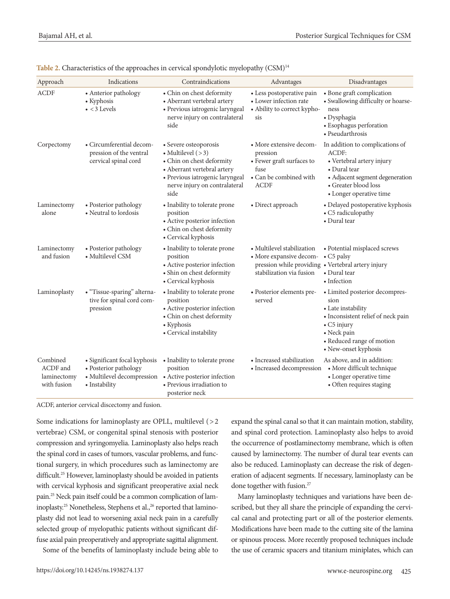| Approach                                           | Indications                                                                                          | Contraindications                                                                                                                                                                    | Advantages                                                                                                                              | Disadvantages                                                                                                                                                                         |
|----------------------------------------------------|------------------------------------------------------------------------------------------------------|--------------------------------------------------------------------------------------------------------------------------------------------------------------------------------------|-----------------------------------------------------------------------------------------------------------------------------------------|---------------------------------------------------------------------------------------------------------------------------------------------------------------------------------------|
| <b>ACDF</b>                                        | • Anterior pathology<br>• Kyphosis<br>$\bullet$ < 3 Levels                                           | • Chin on chest deformity<br>• Aberrant vertebral artery<br>· Previous iatrogenic laryngeal<br>nerve injury on contralateral<br>side                                                 | • Less postoperative pain<br>• Lower infection rate<br>• Ability to correct kypho-<br>sis                                               | · Bone graft complication<br>• Swallowing difficulty or hoarse-<br>ness<br>• Dysphagia<br>• Esophagus perforation<br>• Pseudarthrosis                                                 |
| Corpectomy                                         | • Circumferential decom-<br>pression of the ventral<br>cervical spinal cord                          | • Severe osteoporosis<br>• Multilevel $(>3)$<br>• Chin on chest deformity<br>• Aberrant vertebral artery<br>· Previous iatrogenic laryngeal<br>nerve injury on contralateral<br>side | • More extensive decom-<br>pression<br>• Fewer graft surfaces to<br>fuse<br>• Can be combined with<br><b>ACDF</b>                       | In addition to complications of<br>ACDF:<br>• Vertebral artery injury<br>• Dural tear<br>• Adjacent segment degeneration<br>• Greater blood loss<br>• Longer operative time           |
| Laminectomy<br>alone                               | • Posterior pathology<br>• Neutral to lordosis                                                       | • Inability to tolerate prone<br>position<br>• Active posterior infection<br>• Chin on chest deformity<br>• Cervical kyphosis                                                        | • Direct approach                                                                                                                       | • Delayed postoperative kyphosis<br>• C5 radiculopathy<br>• Dural tear                                                                                                                |
| Laminectomy<br>and fusion                          | • Posterior pathology<br>• Multilevel CSM                                                            | • Inability to tolerate prone<br>position<br>• Active posterior infection<br>· Shin on chest deformity<br>• Cervical kyphosis                                                        | • Multilevel stabilization<br>· More expansive decom-<br>pression while providing • Vertebral artery injury<br>stabilization via fusion | • Potential misplaced screws<br>• C5 palsy<br>• Dural tear<br>• Infection                                                                                                             |
| Laminoplasty                                       | • "Tissue-sparing" alterna-<br>tive for spinal cord com-<br>pression                                 | • Inability to tolerate prone<br>position<br>• Active posterior infection<br>• Chin on chest deformity<br>• Kyphosis<br>• Cervical instability                                       | • Posterior elements pre-<br>served                                                                                                     | • Limited posterior decompres-<br>sion<br>• Late instability<br>· Inconsistent relief of neck pain<br>• C5 injury<br>• Neck pain<br>• Reduced range of motion<br>• New-onset kyphosis |
| Combined<br>ACDF and<br>laminectomy<br>with fusion | · Significant focal kyphosis<br>• Posterior pathology<br>· Multilevel decompression<br>• Instability | • Inability to tolerate prone<br>position<br>• Active posterior infection<br>· Previous irradiation to<br>posterior neck                                                             | · Increased stabilization<br>• Increased decompression                                                                                  | As above, and in addition:<br>• More difficult technique<br>• Longer operative time<br>• Often requires staging                                                                       |

Table 2. Characteristics of the approaches in cervical spondylotic myelopathy  $(CSM)^{14}$ 

ACDF, anterior cervical discectomy and fusion.

Some indications for laminoplasty are OPLL, multilevel  $( > 2$ vertebrae) CSM, or congenital spinal stenosis with posterior compression and syringomyelia. Laminoplasty also helps reach the spinal cord in cases of tumors, vascular problems, and functional surgery, in which procedures such as laminectomy are difficult.<sup>25</sup> However, laminoplasty should be avoided in patients with cervical kyphosis and significant preoperative axial neck pain.25 Neck pain itself could be a common complication of laminoplasty.<sup>25</sup> Nonetheless, Stephens et al.,<sup>26</sup> reported that laminoplasty did not lead to worsening axial neck pain in a carefully selected group of myelopathic patients without significant diffuse axial pain preoperatively and appropriate sagittal alignment. Some of the benefits of laminoplasty include being able to

expand the spinal canal so that it can maintain motion, stability, and spinal cord protection. Laminoplasty also helps to avoid the occurrence of postlaminectomy membrane, which is often caused by laminectomy. The number of dural tear events can also be reduced. Laminoplasty can decrease the risk of degeneration of adjacent segments. If necessary, laminoplasty can be done together with fusion.<sup>27</sup>

Many laminoplasty techniques and variations have been described, but they all share the principle of expanding the cervical canal and protecting part or all of the posterior elements. Modifications have been made to the cutting site of the lamina or spinous process. More recently proposed techniques include the use of ceramic spacers and titanium miniplates, which can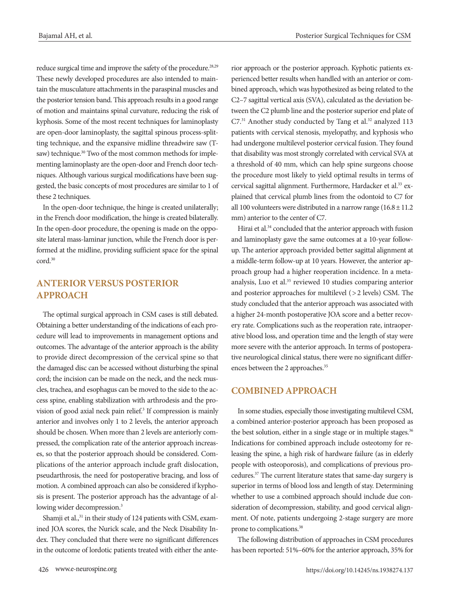reduce surgical time and improve the safety of the procedure.<sup>28,29</sup> These newly developed procedures are also intended to maintain the musculature attachments in the paraspinal muscles and the posterior tension band. This approach results in a good range of motion and maintains spinal curvature, reducing the risk of kyphosis. Some of the most recent techniques for laminoplasty are open-door laminoplasty, the sagittal spinous process-splitting technique, and the expansive midline threadwire saw (Tsaw) technique.<sup>30</sup> Two of the most common methods for implementing laminoplasty are the open-door and French door techniques. Although various surgical modifications have been suggested, the basic concepts of most procedures are similar to 1 of these 2 techniques.

In the open-door technique, the hinge is created unilaterally; in the French door modification, the hinge is created bilaterally. In the open-door procedure, the opening is made on the opposite lateral mass-laminar junction, while the French door is performed at the midline, providing sufficient space for the spinal cord.30

## **ANTERIOR VERSUS POSTERIOR APPROACH**

The optimal surgical approach in CSM cases is still debated. Obtaining a better understanding of the indications of each procedure will lead to improvements in management options and outcomes. The advantage of the anterior approach is the ability to provide direct decompression of the cervical spine so that the damaged disc can be accessed without disturbing the spinal cord; the incision can be made on the neck, and the neck muscles, trachea, and esophagus can be moved to the side to the access spine, enabling stabilization with arthrodesis and the provision of good axial neck pain relief.<sup>3</sup> If compression is mainly anterior and involves only 1 to 2 levels, the anterior approach should be chosen. When more than 2 levels are anteriorly compressed, the complication rate of the anterior approach increases, so that the posterior approach should be considered. Complications of the anterior approach include graft dislocation, pseudarthrosis, the need for postoperative bracing, and loss of motion. A combined approach can also be considered if kyphosis is present. The posterior approach has the advantage of allowing wider decompression.<sup>3</sup>

Shamji et al.,<sup>31</sup> in their study of 124 patients with CSM, examined JOA scores, the Nurick scale, and the Neck Disability Index. They concluded that there were no significant differences in the outcome of lordotic patients treated with either the anterior approach or the posterior approach. Kyphotic patients experienced better results when handled with an anterior or combined approach, which was hypothesized as being related to the C2–7 sagittal vertical axis (SVA), calculated as the deviation between the C2 plumb line and the posterior superior end plate of C7.<sup>31</sup> Another study conducted by Tang et al.<sup>32</sup> analyzed 113 patients with cervical stenosis, myelopathy, and kyphosis who had undergone multilevel posterior cervical fusion. They found that disability was most strongly correlated with cervical SVA at a threshold of 40 mm, which can help spine surgeons choose the procedure most likely to yield optimal results in terms of cervical sagittal alignment. Furthermore, Hardacker et al.<sup>33</sup> explained that cervical plumb lines from the odontoid to C7 for all 100 volunteers were distributed in a narrow range  $(16.8 \pm 11.2)$ mm) anterior to the center of C7.

Hirai et al.<sup>34</sup> concluded that the anterior approach with fusion and laminoplasty gave the same outcomes at a 10-year followup. The anterior approach provided better sagittal alignment at a middle-term follow-up at 10 years. However, the anterior approach group had a higher reoperation incidence. In a metaanalysis, Luo et al.<sup>35</sup> reviewed 10 studies comparing anterior and posterior approaches for multilevel (> 2 levels) CSM. The study concluded that the anterior approach was associated with a higher 24-month postoperative JOA score and a better recovery rate. Complications such as the reoperation rate, intraoperative blood loss, and operation time and the length of stay were more severe with the anterior approach. In terms of postoperative neurological clinical status, there were no significant differences between the 2 approaches.<sup>35</sup>

#### **COMBINED APPROACH**

In some studies, especially those investigating multilevel CSM, a combined anterior-posterior approach has been proposed as the best solution, either in a single stage or in multiple stages.<sup>36</sup> Indications for combined approach include osteotomy for releasing the spine, a high risk of hardware failure (as in elderly people with osteoporosis), and complications of previous procedures.37 The current literature states that same-day surgery is superior in terms of blood loss and length of stay. Determining whether to use a combined approach should include due consideration of decompression, stability, and good cervical alignment. Of note, patients undergoing 2-stage surgery are more prone to complications.38

The following distribution of approaches in CSM procedures has been reported: 51%–60% for the anterior approach, 35% for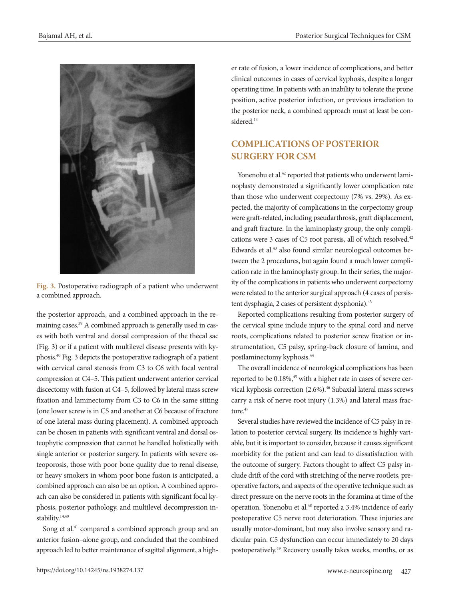

**Fig. 3.** Postoperative radiograph of a patient who underwent a combined approach.

the posterior approach, and a combined approach in the remaining cases.<sup>39</sup> A combined approach is generally used in cases with both ventral and dorsal compression of the thecal sac (Fig. 3) or if a patient with multilevel disease presents with kyphosis.40 Fig. 3 depicts the postoperative radiograph of a patient with cervical canal stenosis from C3 to C6 with focal ventral compression at C4–5. This patient underwent anterior cervical discectomy with fusion at C4–5, followed by lateral mass screw fixation and laminectomy from C3 to C6 in the same sitting (one lower screw is in C5 and another at C6 because of fracture of one lateral mass during placement). A combined approach can be chosen in patients with significant ventral and dorsal osteophytic compression that cannot be handled holistically with single anterior or posterior surgery. In patients with severe osteoporosis, those with poor bone quality due to renal disease, or heavy smokers in whom poor bone fusion is anticipated, a combined approach can also be an option. A combined approach can also be considered in patients with significant focal kyphosis, posterior pathology, and multilevel decompression instability.<sup>14,40</sup>

Song et al.<sup>41</sup> compared a combined approach group and an anterior fusion–alone group, and concluded that the combined approach led to better maintenance of sagittal alignment, a higher rate of fusion, a lower incidence of complications, and better clinical outcomes in cases of cervical kyphosis, despite a longer operating time. In patients with an inability to tolerate the prone position, active posterior infection, or previous irradiation to the posterior neck, a combined approach must at least be considered.<sup>14</sup>

# **COMPLICATIONS OF POSTERIOR SURGERY FOR CSM**

Yonenobu et al.<sup>42</sup> reported that patients who underwent laminoplasty demonstrated a significantly lower complication rate than those who underwent corpectomy (7% vs. 29%). As expected, the majority of complications in the corpectomy group were graft-related, including pseudarthrosis, graft displacement, and graft fracture. In the laminoplasty group, the only complications were 3 cases of C5 root paresis, all of which resolved.42 Edwards et al.<sup>43</sup> also found similar neurological outcomes between the 2 procedures, but again found a much lower complication rate in the laminoplasty group. In their series, the majority of the complications in patients who underwent corpectomy were related to the anterior surgical approach (4 cases of persistent dysphagia, 2 cases of persistent dysphonia).<sup>43</sup>

Reported complications resulting from posterior surgery of the cervical spine include injury to the spinal cord and nerve roots, complications related to posterior screw fixation or instrumentation, C5 palsy, spring-back closure of lamina, and postlaminectomy kyphosis.44

The overall incidence of neurological complications has been reported to be 0.18%,<sup>45</sup> with a higher rate in cases of severe cervical kyphosis correction (2.6%).<sup>46</sup> Subaxial lateral mass screws carry a risk of nerve root injury (1.3%) and lateral mass fracture.<sup>47</sup>

Several studies have reviewed the incidence of C5 palsy in relation to posterior cervical surgery. Its incidence is highly variable, but it is important to consider, because it causes significant morbidity for the patient and can lead to dissatisfaction with the outcome of surgery. Factors thought to affect C5 palsy include drift of the cord with stretching of the nerve rootlets, preoperative factors, and aspects of the operative technique such as direct pressure on the nerve roots in the foramina at time of the operation. Yonenobu et al.<sup>48</sup> reported a 3.4% incidence of early postoperative C5 nerve root deterioration. These injuries are usually motor-dominant, but may also involve sensory and radicular pain. C5 dysfunction can occur immediately to 20 days postoperatively.49 Recovery usually takes weeks, months, or as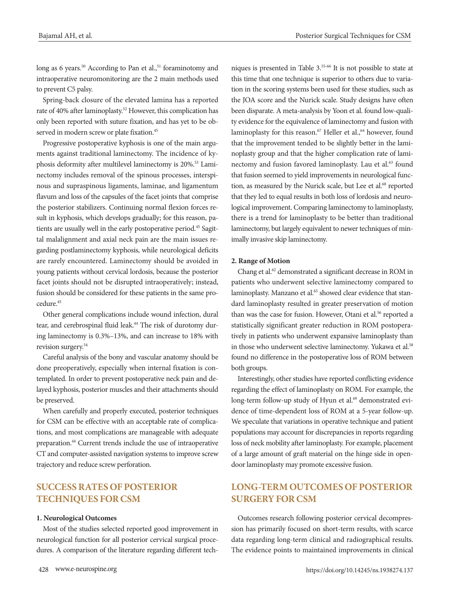long as 6 years.<sup>50</sup> According to Pan et al., $51$  foraminotomy and intraoperative neuromonitoring are the 2 main methods used to prevent C5 palsy.

Spring-back closure of the elevated lamina has a reported rate of 40% after laminoplasty.52 However, this complication has only been reported with suture fixation, and has yet to be observed in modern screw or plate fixation.<sup>45</sup>

Progressive postoperative kyphosis is one of the main arguments against traditional laminectomy. The incidence of kyphosis deformity after multilevel laminectomy is 20%.<sup>53</sup> Laminectomy includes removal of the spinous processes, interspinous and supraspinous ligaments, laminae, and ligamentum flavum and loss of the capsules of the facet joints that comprise the posterior stabilizers. Continuing normal flexion forces result in kyphosis, which develops gradually; for this reason, patients are usually well in the early postoperative period.<sup>45</sup> Sagittal malalignment and axial neck pain are the main issues regarding postlaminectomy kyphosis, while neurological deficits are rarely encountered. Laminectomy should be avoided in young patients without cervical lordosis, because the posterior facet joints should not be disrupted intraoperatively; instead, fusion should be considered for these patients in the same procedure<sup>45</sup>

Other general complications include wound infection, dural tear, and cerebrospinal fluid leak.<sup>44</sup> The risk of durotomy during laminectomy is 0.3%–13%, and can increase to 18% with revision surgery.54

Careful analysis of the bony and vascular anatomy should be done preoperatively, especially when internal fixation is contemplated. In order to prevent postoperative neck pain and delayed kyphosis, posterior muscles and their attachments should be preserved.

When carefully and properly executed, posterior techniques for CSM can be effective with an acceptable rate of complications, and most complications are manageable with adequate preparation.44 Current trends include the use of intraoperative CT and computer-assisted navigation systems to improve screw trajectory and reduce screw perforation.

# **SUCCESS RATES OF POSTERIOR TECHNIQUES FOR CSM**

#### **1. Neurological Outcomes**

Most of the studies selected reported good improvement in neurological function for all posterior cervical surgical procedures. A comparison of the literature regarding different tech-

niques is presented in Table 3.55-66 It is not possible to state at this time that one technique is superior to others due to variation in the scoring systems been used for these studies, such as the JOA score and the Nurick scale. Study designs have often been disparate. A meta-analysis by Yoon et al. found low-quality evidence for the equivalence of laminectomy and fusion with laminoplasty for this reason.<sup>67</sup> Heller et al.,<sup>64</sup> however, found that the improvement tended to be slightly better in the laminoplasty group and that the higher complication rate of laminectomy and fusion favored laminoplasty. Lau et al.<sup>63</sup> found that fusion seemed to yield improvements in neurological function, as measured by the Nurick scale, but Lee et al.<sup>68</sup> reported that they led to equal results in both loss of lordosis and neurological improvement. Comparing laminectomy to laminoplasty, there is a trend for laminoplasty to be better than traditional laminectomy, but largely equivalent to newer techniques of minimally invasive skip laminectomy.

#### **2. Range of Motion**

Chang et al.62 demonstrated a significant decrease in ROM in patients who underwent selective laminectomy compared to laminoplasty. Manzano et al.<sup>65</sup> showed clear evidence that standard laminoplasty resulted in greater preservation of motion than was the case for fusion. However, Otani et al.<sup>56</sup> reported a statistically significant greater reduction in ROM postoperatively in patients who underwent expansive laminoplasty than in those who underwent selective laminectomy. Yukawa et al.<sup>58</sup> found no difference in the postoperative loss of ROM between both groups.

Interestingly, other studies have reported conflicting evidence regarding the effect of laminoplasty on ROM. For example, the long-term follow-up study of Hyun et al.<sup>69</sup> demonstrated evidence of time-dependent loss of ROM at a 5-year follow-up. We speculate that variations in operative technique and patient populations may account for discrepancies in reports regarding loss of neck mobility after laminoplasty. For example, placement of a large amount of graft material on the hinge side in opendoor laminoplasty may promote excessive fusion.

## **LONG-TERM OUTCOMES OF POSTERIOR SURGERY FOR CSM**

Outcomes research following posterior cervical decompression has primarily focused on short-term results, with scarce data regarding long-term clinical and radiographical results. The evidence points to maintained improvements in clinical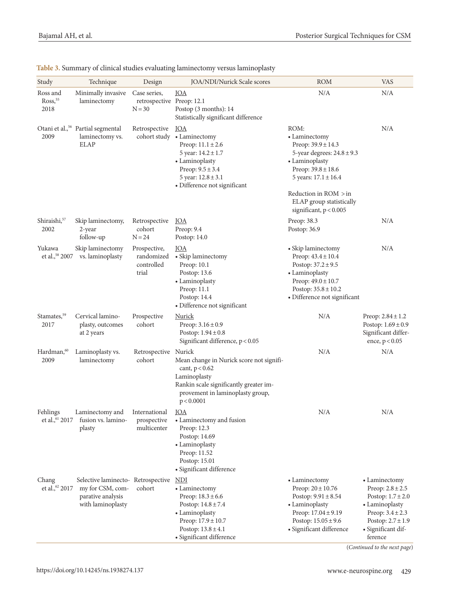| Study                                  | Technique                                                                                       | Design                                                | JOA/NDI/Nurick Scale scores                                                                                                                                                                     | <b>ROM</b>                                                                                                                                                                                                     | <b>VAS</b>                                                                                                                                                         |
|----------------------------------------|-------------------------------------------------------------------------------------------------|-------------------------------------------------------|-------------------------------------------------------------------------------------------------------------------------------------------------------------------------------------------------|----------------------------------------------------------------------------------------------------------------------------------------------------------------------------------------------------------------|--------------------------------------------------------------------------------------------------------------------------------------------------------------------|
| Ross and<br>Ross <sub>55</sub><br>2018 | Minimally invasive<br>laminectomy                                                               | Case series,<br>retrospective Preop: 12.1<br>$N = 30$ | <b>JOA</b><br>Postop (3 months): 14<br>Statistically significant difference                                                                                                                     | N/A                                                                                                                                                                                                            | N/A                                                                                                                                                                |
| 2009                                   | Otani et al., <sup>56</sup> Partial segmental<br>laminectomy vs.<br><b>ELAP</b>                 | Retrospective                                         | <b>JOA</b><br>cohort study . Laminectomy<br>Preop: $11.1 \pm 2.6$<br>5 year: $14.2 \pm 1.7$<br>• Laminoplasty<br>Preop: $9.5 \pm 3.4$<br>5 year: $12.8 \pm 3.1$<br>· Difference not significant | ROM:<br>• Laminectomy<br>Preop: $39.9 \pm 14.3$<br>5-year degrees: $24.8 \pm 9.3$<br>• Laminoplasty<br>Preop: $39.8 \pm 18.6$<br>5 years: $17.1 \pm 16.4$<br>Reduction in ROM > in<br>ELAP group statistically | N/A                                                                                                                                                                |
| Shiraishi, <sup>57</sup><br>2002       | Skip laminectomy,<br>2-year<br>follow-up                                                        | Retrospective<br>cohort<br>$N = 24$                   | <b>JOA</b><br>Preop: 9.4<br>Postop: 14.0                                                                                                                                                        | significant, $p < 0.005$<br>Preop: 38.3<br>Postop: 36.9                                                                                                                                                        | N/A                                                                                                                                                                |
| Yukawa<br>et al., <sup>58</sup> 2007   | Skip laminectomy<br>vs. laminoplasty                                                            | Prospective,<br>randomized<br>controlled<br>trial     | <b>JOA</b><br>• Skip laminectomy<br>Preop: 10.1<br>Postop: 13.6<br>• Laminoplasty<br>Preop: 11.1<br>Postop: 14.4<br>• Difference not significant                                                | • Skip laminectomy<br>Preop: $43.4 \pm 10.4$<br>Postop: $37.2 \pm 9.5$<br>• Laminoplasty<br>Preop: $49.0 \pm 10.7$<br>Postop: $35.8 \pm 10.2$<br>• Difference not significant                                  | N/A                                                                                                                                                                |
| Stamates, <sup>59</sup><br>2017        | Cervical lamino-<br>plasty, outcomes<br>at 2 years                                              | Prospective<br>cohort                                 | Nurick<br>Preop: $3.16 \pm 0.9$<br>Postop: $1.94 \pm 0.8$<br>Significant difference, $p < 0.05$                                                                                                 | N/A                                                                                                                                                                                                            | Preop: $2.84 \pm 1.2$<br>Postop: $1.69 \pm 0.9$<br>Significant differ-<br>ence, $p < 0.05$                                                                         |
| Hardman, <sup>60</sup><br>2009         | Laminoplasty vs.<br>laminectomy                                                                 | Retrospective Nurick<br>cohort                        | Mean change in Nurick score not signifi-<br>cant, $p < 0.62$<br>Laminoplasty<br>Rankin scale significantly greater im-<br>provement in laminoplasty group,<br>p < 0.0001                        | N/A                                                                                                                                                                                                            | N/A                                                                                                                                                                |
| Fehlings<br>et al., <sup>61</sup> 2017 | Laminectomy and<br>fusion vs. lamino-<br>plasty                                                 | International JOA<br>prospective<br>multicenter       | • Laminectomy and fusion<br>Preop: 12.3<br>Postop: 14.69<br>• Laminoplasty<br>Preop: 11.52<br>Postop: 15.01<br>· Significant difference                                                         | N/A                                                                                                                                                                                                            | N/A                                                                                                                                                                |
| Chang<br>et al., <sup>62</sup> 2017    | Selective laminecto-Retrospective<br>my for CSM, com-<br>parative analysis<br>with laminoplasty | cohort                                                | <u>NDI</u><br>• Laminectomy<br>Preop: $18.3 \pm 6.6$<br>Postop: $14.8 \pm 7.4$<br>• Laminoplasty<br>Preop: 17.9 ± 10.7<br>Postop: $13.8 \pm 4.1$<br>· Significant difference                    | • Laminectomy<br>Preop: $20 \pm 10.76$<br>Postop: $9.91 \pm 8.54$<br>• Laminoplasty<br>Preop: $17.04 \pm 9.19$<br>Postop: $15.05 \pm 9.6$<br>· Significant difference                                          | • Laminectomy<br>Preop: $2.8 \pm 2.5$<br>Postop: $1.7 \pm 2.0$<br>• Laminoplasty<br>Preop: $3.4 \pm 2.3$<br>Postop: $2.7 \pm 1.9$<br>· Significant dif-<br>ference |

**Table 3.** Summary of clinical studies evaluating laminectomy versus laminoplasty

(*Continued to the next page*)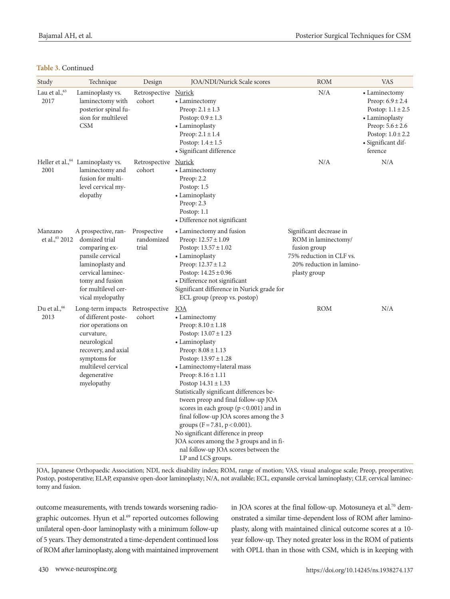#### **Table 3.** Continued

| Study                            | Technique                                                                                                                                                                                | Design                             | JOA/NDI/Nurick Scale scores                                                                                                                                                                                                                                                                                                                                                                                                                                                                                                                                                                                     | ROM                                                                                                                                    | <b>VAS</b>                                                                                                                                                         |
|----------------------------------|------------------------------------------------------------------------------------------------------------------------------------------------------------------------------------------|------------------------------------|-----------------------------------------------------------------------------------------------------------------------------------------------------------------------------------------------------------------------------------------------------------------------------------------------------------------------------------------------------------------------------------------------------------------------------------------------------------------------------------------------------------------------------------------------------------------------------------------------------------------|----------------------------------------------------------------------------------------------------------------------------------------|--------------------------------------------------------------------------------------------------------------------------------------------------------------------|
| Lau et al., $63$<br>2017         | Laminoplasty vs.<br>laminectomy with<br>posterior spinal fu-<br>sion for multilevel<br><b>CSM</b>                                                                                        | Retrospective<br>cohort            | <b>Nurick</b><br>• Laminectomy<br>Preop: $2.1 \pm 1.3$<br>Postop: $0.9 \pm 1.3$<br>• Laminoplasty<br>Preop: $2.1 \pm 1.4$<br>Postop: $1.4 \pm 1.5$<br>• Significant difference                                                                                                                                                                                                                                                                                                                                                                                                                                  | N/A                                                                                                                                    | • Laminectomy<br>Preop: $6.9 \pm 2.4$<br>Postop: $1.1 \pm 2.5$<br>• Laminoplasty<br>Preop: $5.6 \pm 2.6$<br>Postop: $1.0 \pm 2.2$<br>• Significant dif-<br>ference |
| 2001                             | Heller et al., <sup>64</sup> Laminoplasty vs.<br>laminectomy and<br>fusion for multi-<br>level cervical my-<br>elopathy                                                                  | Retrospective<br>cohort            | Nurick<br>• Laminectomy<br>Preop: $2.2$<br>Postop: 1.5<br>• Laminoplasty<br>Preop: 2.3<br>Postop: $1.1$<br>• Difference not significant                                                                                                                                                                                                                                                                                                                                                                                                                                                                         | N/A                                                                                                                                    | N/A                                                                                                                                                                |
| Manzano<br>et al., 65 2012       | A prospective, ran-<br>domized trial<br>comparing ex-<br>pansile cervical<br>laminoplasty and<br>cervical laminec-<br>tomy and fusion<br>for multilevel cer-<br>vical myelopathy         | Prospective<br>randomized<br>trial | • Laminectomy and fusion<br>Preop: $12.57 \pm 1.09$<br>Postop: $13.57 \pm 1.02$<br>• Laminoplasty<br>Preop: $12.37 \pm 1.2$<br>Postop: $14.25 \pm 0.96$<br>• Difference not significant<br>Significant difference in Nurick grade for<br>ECL group (preop vs. postop)                                                                                                                                                                                                                                                                                                                                           | Significant decrease in<br>ROM in laminectomy/<br>fusion group<br>75% reduction in CLF vs.<br>20% reduction in lamino-<br>plasty group |                                                                                                                                                                    |
| Du et al., <sup>66</sup><br>2013 | Long-term impacts<br>of different poste-<br>rior operations on<br>curvature,<br>neurological<br>recovery, and axial<br>symptoms for<br>multilevel cervical<br>degenerative<br>myelopathy | Retrospective<br>cohort            | <b>JOA</b><br>• Laminectomy<br>Preop: $8.10 \pm 1.18$<br>Postop: $13.07 \pm 1.23$<br>• Laminoplasty<br>Preop: $8.08 \pm 1.13$<br>Postop: $13.97 \pm 1.28$<br>• Laminectomy+lateral mass<br>Preop: $8.16 \pm 1.11$<br>Postop $14.31 \pm 1.33$<br>Statistically significant differences be-<br>tween preop and final follow-up JOA<br>scores in each group $(p < 0.001)$ and in<br>final follow-up JOA scores among the 3<br>groups ( $F = 7.81$ , $p < 0.001$ ).<br>No significant difference in preop<br>JOA scores among the 3 groups and in fi-<br>nal follow-up JOA scores between the<br>LP and LCS groups. | ROM                                                                                                                                    | N/A                                                                                                                                                                |

JOA, Japanese Orthopaedic Association; NDI, neck disability index; ROM, range of motion; VAS, visual analogue scale; Preop, preoperative; Postop, postoperative; ELAP, expansive open-door laminoplasty; N/A, not available; ECL, expansile cervical laminoplasty; CLF, cervical laminectomy and fusion.

outcome measurements, with trends towards worsening radiographic outcomes. Hyun et al.<sup>69</sup> reported outcomes following unilateral open-door laminoplasty with a minimum follow-up of 5 years. They demonstrated a time-dependent continued loss of ROM after laminoplasty, along with maintained improvement in JOA scores at the final follow-up. Motosuneya et al.<sup>70</sup> demonstrated a similar time-dependent loss of ROM after laminoplasty, along with maintained clinical outcome scores at a 10 year follow-up. They noted greater loss in the ROM of patients with OPLL than in those with CSM, which is in keeping with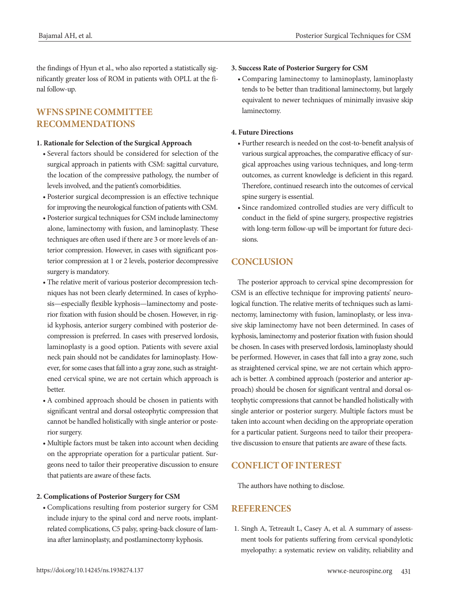the findings of Hyun et al., who also reported a statistically significantly greater loss of ROM in patients with OPLL at the final follow-up.

# **WFNS SPINE COMMITTEE RECOMMENDATIONS**

#### **1. Rationale for Selection of the Surgical Approach**

- Several factors should be considered for selection of the surgical approach in patients with CSM: sagittal curvature, the location of the compressive pathology, the number of levels involved, and the patient's comorbidities.
- Posterior surgical decompression is an effective technique for improving the neurological function of patients with CSM.
- Posterior surgical techniques for CSM include laminectomy alone, laminectomy with fusion, and laminoplasty. These techniques are often used if there are 3 or more levels of anterior compression. However, in cases with significant posterior compression at 1 or 2 levels, posterior decompressive surgery is mandatory.
- The relative merit of various posterior decompression techniques has not been clearly determined. In cases of kyphosis—especially flexible kyphosis—laminectomy and posterior fixation with fusion should be chosen. However, in rigid kyphosis, anterior surgery combined with posterior decompression is preferred. In cases with preserved lordosis, laminoplasty is a good option. Patients with severe axial neck pain should not be candidates for laminoplasty. However, for some cases that fall into a gray zone, such as straightened cervical spine, we are not certain which approach is better.
- A combined approach should be chosen in patients with significant ventral and dorsal osteophytic compression that cannot be handled holistically with single anterior or posterior surgery.
- Multiple factors must be taken into account when deciding on the appropriate operation for a particular patient. Surgeons need to tailor their preoperative discussion to ensure that patients are aware of these facts.

#### **2. Complications of Posterior Surgery for CSM**

• Complications resulting from posterior surgery for CSM include injury to the spinal cord and nerve roots, implantrelated complications, C5 palsy, spring-back closure of lamina after laminoplasty, and postlaminectomy kyphosis.

#### **3. Success Rate of Posterior Surgery for CSM**

• Comparing laminectomy to laminoplasty, laminoplasty tends to be better than traditional laminectomy, but largely equivalent to newer techniques of minimally invasive skip laminectomy.

#### **4. Future Directions**

- Further research is needed on the cost-to-benefit analysis of various surgical approaches, the comparative efficacy of surgical approaches using various techniques, and long-term outcomes, as current knowledge is deficient in this regard. Therefore, continued research into the outcomes of cervical spine surgery is essential.
- Since randomized controlled studies are very difficult to conduct in the field of spine surgery, prospective registries with long-term follow-up will be important for future decisions.

# **CONCLUSION**

The posterior approach to cervical spine decompression for CSM is an effective technique for improving patients' neurological function. The relative merits of techniques such as laminectomy, laminectomy with fusion, laminoplasty, or less invasive skip laminectomy have not been determined. In cases of kyphosis, laminectomy and posterior fixation with fusion should be chosen. In cases with preserved lordosis, laminoplasty should be performed. However, in cases that fall into a gray zone, such as straightened cervical spine, we are not certain which approach is better. A combined approach (posterior and anterior approach) should be chosen for significant ventral and dorsal osteophytic compressions that cannot be handled holistically with single anterior or posterior surgery. Multiple factors must be taken into account when deciding on the appropriate operation for a particular patient. Surgeons need to tailor their preoperative discussion to ensure that patients are aware of these facts.

## **CONFLICT OF INTEREST**

The authors have nothing to disclose.

## **REFERENCES**

1. Singh A, Tetreault L, Casey A, et al. A summary of assessment tools for patients suffering from cervical spondylotic myelopathy: a systematic review on validity, reliability and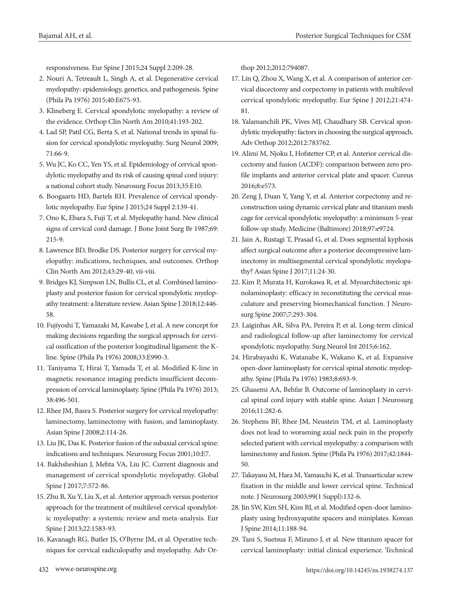responsiveness. Eur Spine J 2015;24 Suppl 2:209-28.

- 2. Nouri A, Tetreault L, Singh A, et al. Degenerative cervical myelopathy: epidemiology, genetics, and pathogenesis. Spine (Phila Pa 1976) 2015;40:E675-93.
- 3. Klineberg E. Cervical spondylotic myelopathy: a review of the evidence. Orthop Clin North Am 2010;41:193-202.
- 4. Lad SP, Patil CG, Berta S, et al. National trends in spinal fusion for cervical spondylotic myelopathy. Surg Neurol 2009; 71:66-9.
- 5. Wu JC, Ko CC, Yen YS, et al. Epidemiology of cervical spondylotic myelopathy and its risk of causing spinal cord injury: a national cohort study. Neurosurg Focus 2013;35:E10.
- 6. Boogaarts HD, Bartels RH. Prevalence of cervical spondylotic myelopathy. Eur Spine J 2015;24 Suppl 2:139-41.
- 7. Ono K, Ebara S, Fuji T, et al. Myelopathy hand. New clinical signs of cervical cord damage. J Bone Joint Surg Br 1987;69: 215-9.
- 8. Lawrence BD, Brodke DS. Posterior surgery for cervical myelopathy: indications, techniques, and outcomes. Orthop Clin North Am 2012;43:29-40, vii-viii.
- 9. Bridges KJ, Simpson LN, Bullis CL, et al. Combined laminoplasty and posterior fusion for cervical spondylotic myelopathy treatment: a literature review. Asian Spine J 2018;12:446- 58.
- 10. Fujiyoshi T, Yamazaki M, Kawabe J, et al. A new concept for making decisions regarding the surgical approach for cervical ossification of the posterior longitudinal ligament: the Kline. Spine (Phila Pa 1976) 2008;33:E990-3.
- 11. Taniyama T, Hirai T, Yamada T, et al. Modified K-line in magnetic resonance imaging predicts insufficient decompression of cervical laminoplasty. Spine (Phila Pa 1976) 2013; 38:496-501.
- 12. Rhee JM, Basra S. Posterior surgery for cervical myelopathy: laminectomy, laminectomy with fusion, and laminoplasty. Asian Spine J 2008;2:114-26.
- 13. Liu JK, Das K. Posterior fusion of the subaxial cervical spine: indications and techniques. Neurosurg Focus 2001;10:E7.
- 14. Bakhsheshian J, Mehta VA, Liu JC. Current diagnosis and management of cervical spondylotic myelopathy. Global Spine J 2017;7:572-86.
- 15. Zhu B, Xu Y, Liu X, et al. Anterior approach versus posterior approach for the treatment of multilevel cervical spondylotic myelopathy: a systemic review and meta-analysis. Eur Spine J 2013;22:1583-93.
- 16. Kavanagh RG, Butler JS, O'Byrne JM, et al. Operative techniques for cervical radiculopathy and myelopathy. Adv Or-

thop 2012;2012:794087.

- 17. Lin Q, Zhou X, Wang X, et al. A comparison of anterior cervical discectomy and corpectomy in patients with multilevel cervical spondylotic myelopathy. Eur Spine J 2012;21:474- 81.
- 18. Yalamanchili PK, Vives MJ, Chaudhary SB. Cervical spondylotic myelopathy: factors in choosing the surgical approach. Adv Orthop 2012;2012:783762.
- 19. Alimi M, Njoku I, Hofstetter CP, et al. Anterior cervical discectomy and fusion (ACDF): comparison between zero profile implants and anterior cervical plate and spacer. Cureus 2016;8:e573.
- 20. Zeng J, Duan Y, Yang Y, et al. Anterior corpectomy and reconstruction using dynamic cervical plate and titanium mesh cage for cervical spondylotic myelopathy: a minimum 5-year follow-up study. Medicine (Baltimore) 2018;97:e9724.
- 21. Jain A, Rustagi T, Prasad G, et al. Does segmental kyphosis affect surgical outcome after a posterior decompressive laminectomy in multisegmental cervical spondylotic myelopathy? Asian Spine J 2017;11:24-30.
- 22. Kim P, Murata H, Kurokawa R, et al. Myoarchitectonic spinolaminoplasty: efficacy in reconstituting the cervical musculature and preserving biomechanical function. J Neurosurg Spine 2007;7:293-304.
- 23. Laiginhas AR, Silva PA, Pereira P, et al. Long-term clinical and radiological follow-up after laminectomy for cervical spondylotic myelopathy. Surg Neurol Int 2015;6:162.
- 24. Hirabayashi K, Watanabe K, Wakano K, et al. Expansive open-door laminoplasty for cervical spinal stenotic myelopathy. Spine (Phila Pa 1976) 1983;8:693-9.
- 25. Ghasemi AA, Behfar B. Outcome of laminoplasty in cervical spinal cord injury with stable spine. Asian J Neurosurg 2016;11:282-6.
- 26. Stephens BF, Rhee JM, Neustein TM, et al. Laminoplasty does not lead to worsening axial neck pain in the properly selected patient with cervical myelopathy: a comparison with laminectomy and fusion. Spine (Phila Pa 1976) 2017;42:1844- 50.
- 27. Takayasu M, Hara M, Yamauchi K, et al. Transarticular screw fixation in the middle and lower cervical spine. Technical note. J Neurosurg 2003;99(1 Suppl):132-6.
- 28. Jin SW, Kim SH, Kim BJ, et al. Modified open-door laminoplasty using hydroxyapatite spacers and miniplates. Korean J Spine 2014;11:188-94.
- 29. Tani S, Suetsua F, Mizuno J, et al. New titanium spacer for cervical laminoplasty: initial clinical experience. Technical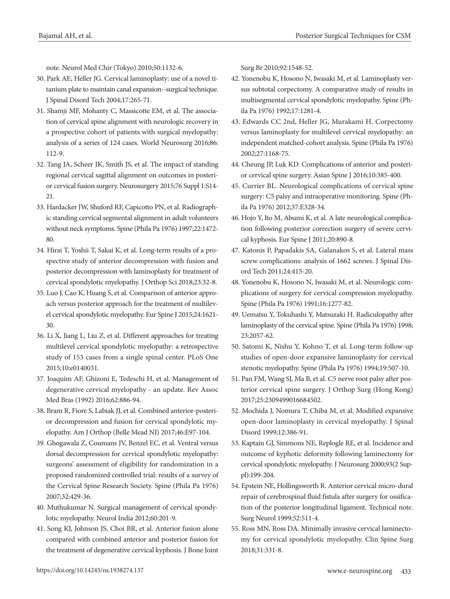note. Neurol Med Chir (Tokyo) 2010;50:1132-6.

- 30. Park AE, Heller JG. Cervical laminoplasty: use of a novel titanium plate to maintain canal expansion--surgical technique. J Spinal Disord Tech 2004;17:265-71.
- 31. Shamji MF, Mohanty C, Massicotte EM, et al. The association of cervical spine alignment with neurologic recovery in a prospective cohort of patients with surgical myelopathy: analysis of a series of 124 cases. World Neurosurg 2016;86: 112-9.
- 32. Tang JA, Scheer JK, Smith JS, et al. The impact of standing regional cervical sagittal alignment on outcomes in posterior cervical fusion surgery. Neurosurgery 2015;76 Suppl 1:S14- 21.
- 33. Hardacker JW, Shuford RF, Capicotto PN, et al. Radiographic standing cervical segmental alignment in adult volunteers without neck symptoms. Spine (Phila Pa 1976) 1997;22:1472- 80.
- 34. Hirai T, Yoshii T, Sakai K, et al. Long-term results of a prospective study of anterior decompression with fusion and posterior decompression with laminoplasty for treatment of cervical spondylotic myelopathy. J Orthop Sci 2018;23:32-8.
- 35. Luo J, Cao K, Huang S, et al. Comparison of anterior approach versus posterior approach for the treatment of multilevel cervical spondylotic myelopathy. Eur Spine J 2015;24:1621- 30.
- 36. Li X, Jiang L, Liu Z, et al. Different approaches for treating multilevel cervical spondylotic myelopathy: a retrospective study of 153 cases from a single spinal center. PLoS One 2015;10:e0140031.
- 37. Joaquim AF, Ghizoni E, Tedeschi H, et al. Management of degenerative cervical myelopathy - an update. Rev Assoc Med Bras (1992) 2016;62:886-94.
- 38. Bram R, Fiore S, Labiak JJ, et al. Combined anterior-posterior decompression and fusion for cervical spondylotic myelopathy. Am J Orthop (Belle Mead NJ) 2017;46:E97-104.
- 39. Ghogawala Z, Coumans JV, Benzel EC, et al. Ventral versus dorsal decompression for cervical spondylotic myelopathy: surgeons' assessment of eligibility for randomization in a proposed randomized controlled trial: results of a survey of the Cervical Spine Research Society. Spine (Phila Pa 1976) 2007;32:429-36.
- 40. Muthukumar N. Surgical management of cervical spondylotic myelopathy. Neurol India 2012;60:201-9.
- 41. Song KJ, Johnson JS, Choi BR, et al. Anterior fusion alone compared with combined anterior and posterior fusion for the treatment of degenerative cervical kyphosis. J Bone Joint

Surg Br 2010;92:1548-52.

- 42. Yonenobu K, Hosono N, Iwasaki M, et al. Laminoplasty versus subtotal corpectomy. A comparative study of results in multisegmental cervical spondylotic myelopathy. Spine (Phila Pa 1976) 1992;17:1281-4.
- 43. Edwards CC 2nd, Heller JG, Murakami H. Corpectomy versus laminoplasty for multilevel cervical myelopathy: an independent matched-cohort analysis. Spine (Phila Pa 1976) 2002;27:1168-75.
- 44. Cheung JP, Luk KD. Complications of anterior and posterior cervical spine surgery. Asian Spine J 2016;10:385-400.
- 45. Currier BL. Neurological complications of cervical spine surgery: C5 palsy and intraoperative monitoring. Spine (Phila Pa 1976) 2012;37:E328-34.
- 46. Hojo Y, Ito M, Abumi K, et al. A late neurological complication following posterior correction surgery of severe cervical kyphosis. Eur Spine J 2011;20:890-8.
- 47. Katonis P, Papadakis SA, Galanakos S, et al. Lateral mass screw complications: analysis of 1662 screws. J Spinal Disord Tech 2011;24:415-20.
- 48. Yonenobu K, Hosono N, Iwasaki M, et al. Neurologic complications of surgery for cervical compression myelopathy. Spine (Phila Pa 1976) 1991;16:1277-82.
- 49. Uematsu Y, Tokuhashi Y, Matsuzaki H. Radiculopathy after laminoplasty of the cervical spine. Spine (Phila Pa 1976) 1998; 23:2057-62.
- 50. Satomi K, Nishu Y, Kohno T, et al. Long-term follow-up studies of open-door expansive laminoplasty for cervical stenotic myelopathy. Spine (Phila Pa 1976) 1994;19:507-10.
- 51. Pan FM, Wang SJ, Ma B, et al. C5 nerve root palsy after posterior cervical spine surgery. J Orthop Surg (Hong Kong) 2017;25:2309499016684502.
- 52. Mochida J, Nomura T, Chiba M, et al. Modified expansive open-door laminoplasty in cervical myelopathy. J Spinal Disord 1999;12:386-91.
- 53. Kaptain GJ, Simmons NE, Replogle RE, et al. Incidence and outcome of kyphotic deformity following laminectomy for cervical spondylotic myelopathy. J Neurosurg 2000;93(2 Suppl):199-204.
- 54. Epstein NE, Hollingsworth R. Anterior cervical micro-dural repair of cerebrospinal fluid fistula after surgery for ossification of the posterior longitudinal ligament. Technical note. Surg Neurol 1999;52:511-4.
- 55. Ross MN, Ross DA. Minimally invasive cervical laminectomy for cervical spondylotic myelopathy. Clin Spine Surg 2018;31:331-8.